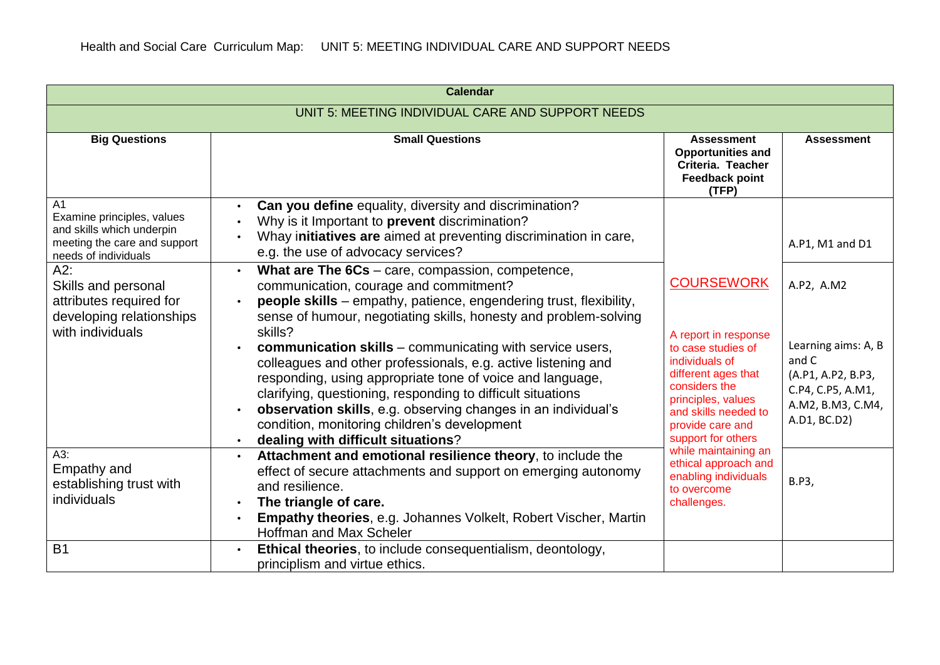|                                                                                                                                   | <b>Calendar</b>                                                                                                                                                                                                                                                                                                                                                                                                                |                                                                                                                                                                                              |                                                                                                              |
|-----------------------------------------------------------------------------------------------------------------------------------|--------------------------------------------------------------------------------------------------------------------------------------------------------------------------------------------------------------------------------------------------------------------------------------------------------------------------------------------------------------------------------------------------------------------------------|----------------------------------------------------------------------------------------------------------------------------------------------------------------------------------------------|--------------------------------------------------------------------------------------------------------------|
| UNIT 5: MEETING INDIVIDUAL CARE AND SUPPORT NEEDS                                                                                 |                                                                                                                                                                                                                                                                                                                                                                                                                                |                                                                                                                                                                                              |                                                                                                              |
| <b>Big Questions</b>                                                                                                              | <b>Small Questions</b>                                                                                                                                                                                                                                                                                                                                                                                                         | <b>Assessment</b><br><b>Opportunities and</b><br>Criteria. Teacher<br><b>Feedback point</b><br>(TFP)                                                                                         | <b>Assessment</b>                                                                                            |
| A <sub>1</sub><br>Examine principles, values<br>and skills which underpin<br>meeting the care and support<br>needs of individuals | Can you define equality, diversity and discrimination?<br>Why is it Important to prevent discrimination?<br>Whay initiatives are aimed at preventing discrimination in care,<br>e.g. the use of advocacy services?                                                                                                                                                                                                             |                                                                                                                                                                                              | A.P1, M1 and D1                                                                                              |
| A2:<br>Skills and personal<br>attributes required for<br>developing relationships                                                 | What are The 6Cs - care, compassion, competence,<br>$\bullet$<br>communication, courage and commitment?<br>people skills - empathy, patience, engendering trust, flexibility,<br>sense of humour, negotiating skills, honesty and problem-solving                                                                                                                                                                              | <b>COURSEWORK</b>                                                                                                                                                                            | A.P2, A.M2                                                                                                   |
| with individuals                                                                                                                  | skills?<br><b>communication skills</b> – communicating with service users,<br>colleagues and other professionals, e.g. active listening and<br>responding, using appropriate tone of voice and language,<br>clarifying, questioning, responding to difficult situations<br>observation skills, e.g. observing changes in an individual's<br>condition, monitoring children's development<br>dealing with difficult situations? | A report in response<br>to case studies of<br>individuals of<br>different ages that<br>considers the<br>principles, values<br>and skills needed to<br>provide care and<br>support for others | Learning aims: A, B<br>and C<br>(A.P1, A.P2, B.P3,<br>C.P4, C.P5, A.M1,<br>A.M2, B.M3, C.M4,<br>A.D1, BC.D2) |
| A3:<br>Empathy and<br>establishing trust with<br>individuals                                                                      | Attachment and emotional resilience theory, to include the<br>effect of secure attachments and support on emerging autonomy<br>and resilience.<br>The triangle of care.<br><b>Empathy theories, e.g. Johannes Volkelt, Robert Vischer, Martin</b><br><b>Hoffman and Max Scheler</b>                                                                                                                                            | while maintaining an<br>ethical approach and<br>enabling individuals<br>to overcome<br>challenges.                                                                                           | <b>B.P3,</b>                                                                                                 |
| <b>B1</b>                                                                                                                         | Ethical theories, to include consequentialism, deontology,<br>principlism and virtue ethics.                                                                                                                                                                                                                                                                                                                                   |                                                                                                                                                                                              |                                                                                                              |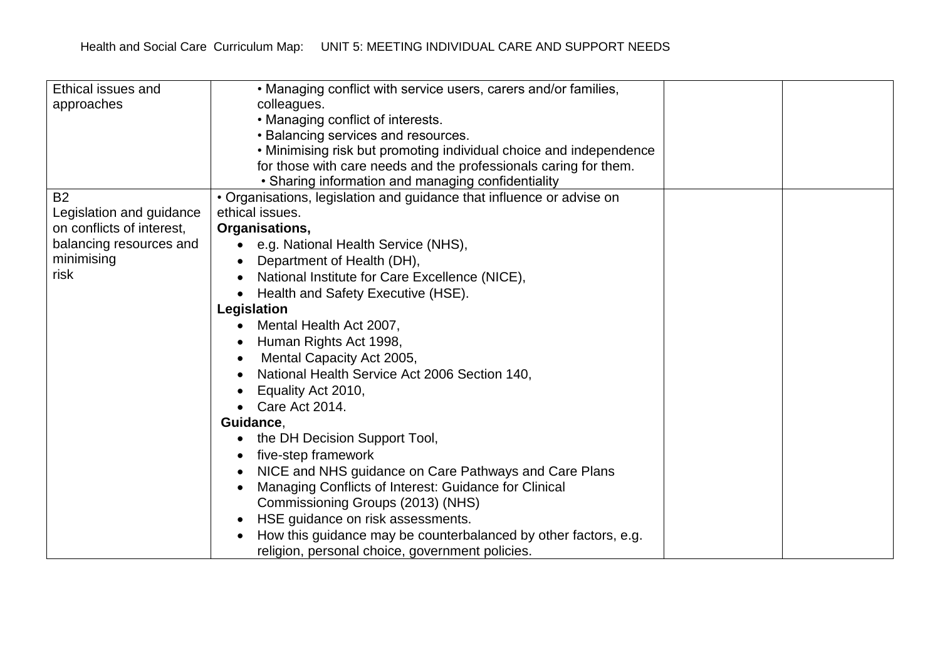| • Managing conflict with service users, carers and/or families,       |                                                                                                                                                                                                                                                                                                                                                                                                                                                     |  |
|-----------------------------------------------------------------------|-----------------------------------------------------------------------------------------------------------------------------------------------------------------------------------------------------------------------------------------------------------------------------------------------------------------------------------------------------------------------------------------------------------------------------------------------------|--|
| colleagues.                                                           |                                                                                                                                                                                                                                                                                                                                                                                                                                                     |  |
| • Managing conflict of interests.                                     |                                                                                                                                                                                                                                                                                                                                                                                                                                                     |  |
| • Balancing services and resources.                                   |                                                                                                                                                                                                                                                                                                                                                                                                                                                     |  |
| . Minimising risk but promoting individual choice and independence    |                                                                                                                                                                                                                                                                                                                                                                                                                                                     |  |
| for those with care needs and the professionals caring for them.      |                                                                                                                                                                                                                                                                                                                                                                                                                                                     |  |
| • Sharing information and managing confidentiality                    |                                                                                                                                                                                                                                                                                                                                                                                                                                                     |  |
| • Organisations, legislation and guidance that influence or advise on |                                                                                                                                                                                                                                                                                                                                                                                                                                                     |  |
| ethical issues.                                                       |                                                                                                                                                                                                                                                                                                                                                                                                                                                     |  |
| Organisations,                                                        |                                                                                                                                                                                                                                                                                                                                                                                                                                                     |  |
| e.g. National Health Service (NHS),<br>$\bullet$                      |                                                                                                                                                                                                                                                                                                                                                                                                                                                     |  |
| Department of Health (DH),                                            |                                                                                                                                                                                                                                                                                                                                                                                                                                                     |  |
| National Institute for Care Excellence (NICE),                        |                                                                                                                                                                                                                                                                                                                                                                                                                                                     |  |
| Health and Safety Executive (HSE).                                    |                                                                                                                                                                                                                                                                                                                                                                                                                                                     |  |
| Legislation                                                           |                                                                                                                                                                                                                                                                                                                                                                                                                                                     |  |
| Mental Health Act 2007,                                               |                                                                                                                                                                                                                                                                                                                                                                                                                                                     |  |
|                                                                       |                                                                                                                                                                                                                                                                                                                                                                                                                                                     |  |
|                                                                       |                                                                                                                                                                                                                                                                                                                                                                                                                                                     |  |
| National Health Service Act 2006 Section 140,                         |                                                                                                                                                                                                                                                                                                                                                                                                                                                     |  |
|                                                                       |                                                                                                                                                                                                                                                                                                                                                                                                                                                     |  |
| Care Act 2014.                                                        |                                                                                                                                                                                                                                                                                                                                                                                                                                                     |  |
| Guidance,                                                             |                                                                                                                                                                                                                                                                                                                                                                                                                                                     |  |
|                                                                       |                                                                                                                                                                                                                                                                                                                                                                                                                                                     |  |
|                                                                       |                                                                                                                                                                                                                                                                                                                                                                                                                                                     |  |
|                                                                       |                                                                                                                                                                                                                                                                                                                                                                                                                                                     |  |
|                                                                       |                                                                                                                                                                                                                                                                                                                                                                                                                                                     |  |
|                                                                       |                                                                                                                                                                                                                                                                                                                                                                                                                                                     |  |
|                                                                       |                                                                                                                                                                                                                                                                                                                                                                                                                                                     |  |
|                                                                       |                                                                                                                                                                                                                                                                                                                                                                                                                                                     |  |
|                                                                       |                                                                                                                                                                                                                                                                                                                                                                                                                                                     |  |
|                                                                       | Human Rights Act 1998,<br>Mental Capacity Act 2005,<br>Equality Act 2010,<br>the DH Decision Support Tool,<br>five-step framework<br>NICE and NHS guidance on Care Pathways and Care Plans<br>Managing Conflicts of Interest: Guidance for Clinical<br>Commissioning Groups (2013) (NHS)<br>HSE guidance on risk assessments.<br>How this guidance may be counterbalanced by other factors, e.g.<br>religion, personal choice, government policies. |  |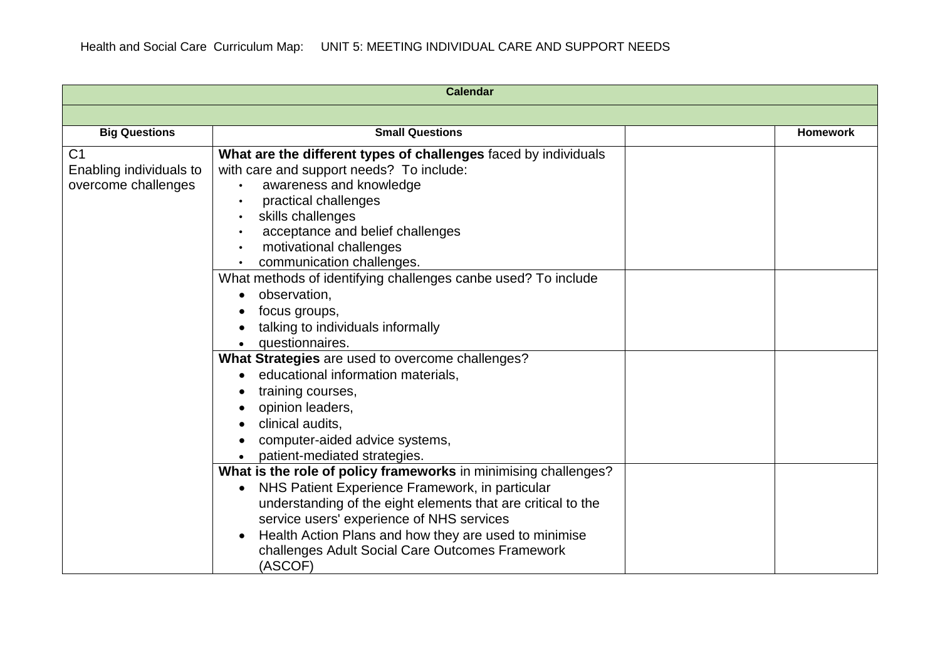|                         | <b>Calendar</b>                                                 |                 |
|-------------------------|-----------------------------------------------------------------|-----------------|
|                         |                                                                 |                 |
| <b>Big Questions</b>    | <b>Small Questions</b>                                          | <b>Homework</b> |
| C <sub>1</sub>          | What are the different types of challenges faced by individuals |                 |
| Enabling individuals to | with care and support needs? To include:                        |                 |
| overcome challenges     | awareness and knowledge                                         |                 |
|                         | practical challenges                                            |                 |
|                         | skills challenges                                               |                 |
|                         | acceptance and belief challenges                                |                 |
|                         | motivational challenges                                         |                 |
|                         | communication challenges.                                       |                 |
|                         | What methods of identifying challenges canbe used? To include   |                 |
|                         | observation,                                                    |                 |
|                         | focus groups,                                                   |                 |
|                         | talking to individuals informally                               |                 |
|                         | questionnaires.                                                 |                 |
|                         | What Strategies are used to overcome challenges?                |                 |
|                         | educational information materials,                              |                 |
|                         | training courses,                                               |                 |
|                         | opinion leaders,                                                |                 |
|                         | clinical audits.                                                |                 |
|                         | computer-aided advice systems,                                  |                 |
|                         | patient-mediated strategies.                                    |                 |
|                         | What is the role of policy frameworks in minimising challenges? |                 |
|                         | NHS Patient Experience Framework, in particular                 |                 |
|                         | understanding of the eight elements that are critical to the    |                 |
|                         | service users' experience of NHS services                       |                 |
|                         | Health Action Plans and how they are used to minimise           |                 |
|                         | challenges Adult Social Care Outcomes Framework                 |                 |
|                         | (ASCOF)                                                         |                 |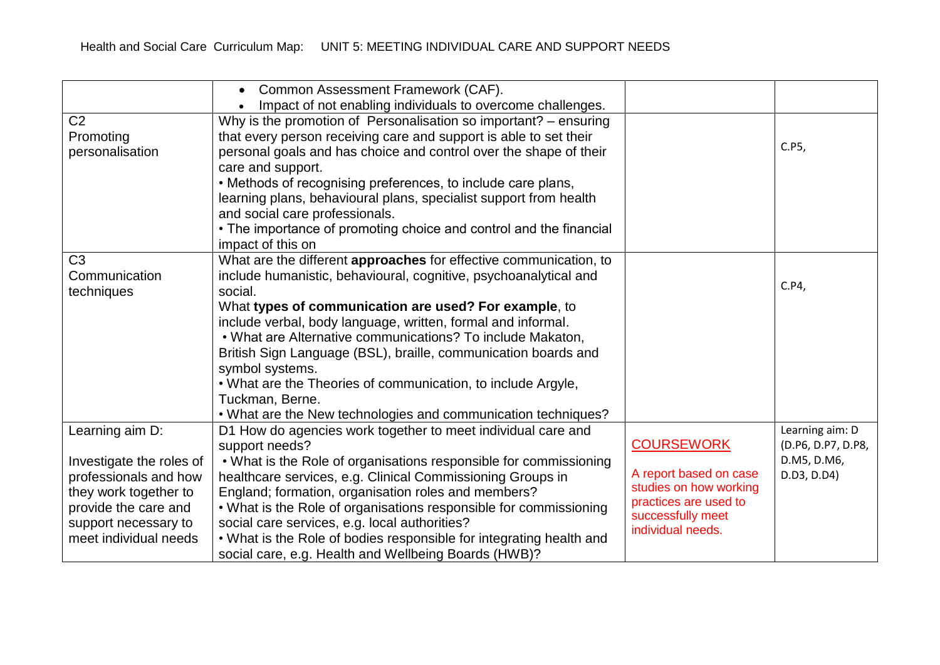|                                                                                                                                                     | Common Assessment Framework (CAF).<br>$\bullet$<br>Impact of not enabling individuals to overcome challenges.                                                                                                                                                                                                                                                                                                                               |                                                                                                                     |                                       |
|-----------------------------------------------------------------------------------------------------------------------------------------------------|---------------------------------------------------------------------------------------------------------------------------------------------------------------------------------------------------------------------------------------------------------------------------------------------------------------------------------------------------------------------------------------------------------------------------------------------|---------------------------------------------------------------------------------------------------------------------|---------------------------------------|
| C <sub>2</sub><br>Promoting<br>personalisation                                                                                                      | Why is the promotion of Personalisation so important? - ensuring<br>that every person receiving care and support is able to set their<br>personal goals and has choice and control over the shape of their<br>care and support.<br>• Methods of recognising preferences, to include care plans,<br>learning plans, behavioural plans, specialist support from health<br>and social care professionals.                                      |                                                                                                                     | C.P5,                                 |
|                                                                                                                                                     | • The importance of promoting choice and control and the financial<br>impact of this on                                                                                                                                                                                                                                                                                                                                                     |                                                                                                                     |                                       |
| C <sub>3</sub><br>Communication<br>techniques                                                                                                       | What are the different approaches for effective communication, to<br>include humanistic, behavioural, cognitive, psychoanalytical and<br>social.                                                                                                                                                                                                                                                                                            |                                                                                                                     | C.P4,                                 |
|                                                                                                                                                     | What types of communication are used? For example, to<br>include verbal, body language, written, formal and informal.<br>. What are Alternative communications? To include Makaton,<br>British Sign Language (BSL), braille, communication boards and<br>symbol systems.<br>. What are the Theories of communication, to include Argyle,<br>Tuckman, Berne.<br>. What are the New technologies and communication techniques?                |                                                                                                                     |                                       |
| Learning aim D:                                                                                                                                     | D1 How do agencies work together to meet individual care and<br>support needs?                                                                                                                                                                                                                                                                                                                                                              | <b>COURSEWORK</b>                                                                                                   | Learning aim: D<br>(D.P6, D.P7, D.P8, |
| Investigate the roles of<br>professionals and how<br>they work together to<br>provide the care and<br>support necessary to<br>meet individual needs | . What is the Role of organisations responsible for commissioning<br>healthcare services, e.g. Clinical Commissioning Groups in<br>England; formation, organisation roles and members?<br>. What is the Role of organisations responsible for commissioning<br>social care services, e.g. local authorities?<br>. What is the Role of bodies responsible for integrating health and<br>social care, e.g. Health and Wellbeing Boards (HWB)? | A report based on case<br>studies on how working<br>practices are used to<br>successfully meet<br>individual needs. | D.M5, D.M6,<br>D.D3, D.D4)            |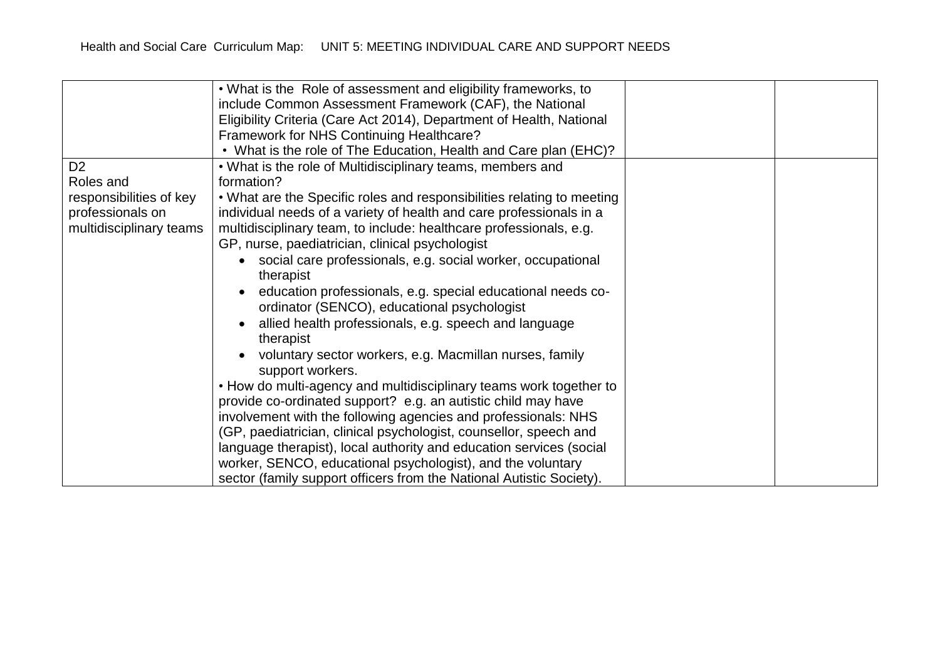|                         | . What is the Role of assessment and eligibility frameworks, to                                                                                                                                                                                                                                                                                   |
|-------------------------|---------------------------------------------------------------------------------------------------------------------------------------------------------------------------------------------------------------------------------------------------------------------------------------------------------------------------------------------------|
|                         | include Common Assessment Framework (CAF), the National                                                                                                                                                                                                                                                                                           |
|                         | Eligibility Criteria (Care Act 2014), Department of Health, National                                                                                                                                                                                                                                                                              |
|                         | Framework for NHS Continuing Healthcare?                                                                                                                                                                                                                                                                                                          |
|                         | • What is the role of The Education, Health and Care plan (EHC)?                                                                                                                                                                                                                                                                                  |
| D <sub>2</sub>          | • What is the role of Multidisciplinary teams, members and                                                                                                                                                                                                                                                                                        |
| Roles and               | formation?                                                                                                                                                                                                                                                                                                                                        |
| responsibilities of key | • What are the Specific roles and responsibilities relating to meeting                                                                                                                                                                                                                                                                            |
| professionals on        | individual needs of a variety of health and care professionals in a                                                                                                                                                                                                                                                                               |
| multidisciplinary teams | multidisciplinary team, to include: healthcare professionals, e.g.                                                                                                                                                                                                                                                                                |
|                         | GP, nurse, paediatrician, clinical psychologist                                                                                                                                                                                                                                                                                                   |
|                         | social care professionals, e.g. social worker, occupational                                                                                                                                                                                                                                                                                       |
|                         | therapist                                                                                                                                                                                                                                                                                                                                         |
|                         | education professionals, e.g. special educational needs co-                                                                                                                                                                                                                                                                                       |
|                         | ordinator (SENCO), educational psychologist                                                                                                                                                                                                                                                                                                       |
|                         | allied health professionals, e.g. speech and language                                                                                                                                                                                                                                                                                             |
|                         | therapist                                                                                                                                                                                                                                                                                                                                         |
|                         | voluntary sector workers, e.g. Macmillan nurses, family                                                                                                                                                                                                                                                                                           |
|                         | support workers.                                                                                                                                                                                                                                                                                                                                  |
|                         | • How do multi-agency and multidisciplinary teams work together to                                                                                                                                                                                                                                                                                |
|                         | provide co-ordinated support? e.g. an autistic child may have                                                                                                                                                                                                                                                                                     |
|                         |                                                                                                                                                                                                                                                                                                                                                   |
|                         |                                                                                                                                                                                                                                                                                                                                                   |
|                         |                                                                                                                                                                                                                                                                                                                                                   |
|                         |                                                                                                                                                                                                                                                                                                                                                   |
|                         |                                                                                                                                                                                                                                                                                                                                                   |
|                         | involvement with the following agencies and professionals: NHS<br>(GP, paediatrician, clinical psychologist, counsellor, speech and<br>language therapist), local authority and education services (social<br>worker, SENCO, educational psychologist), and the voluntary<br>sector (family support officers from the National Autistic Society). |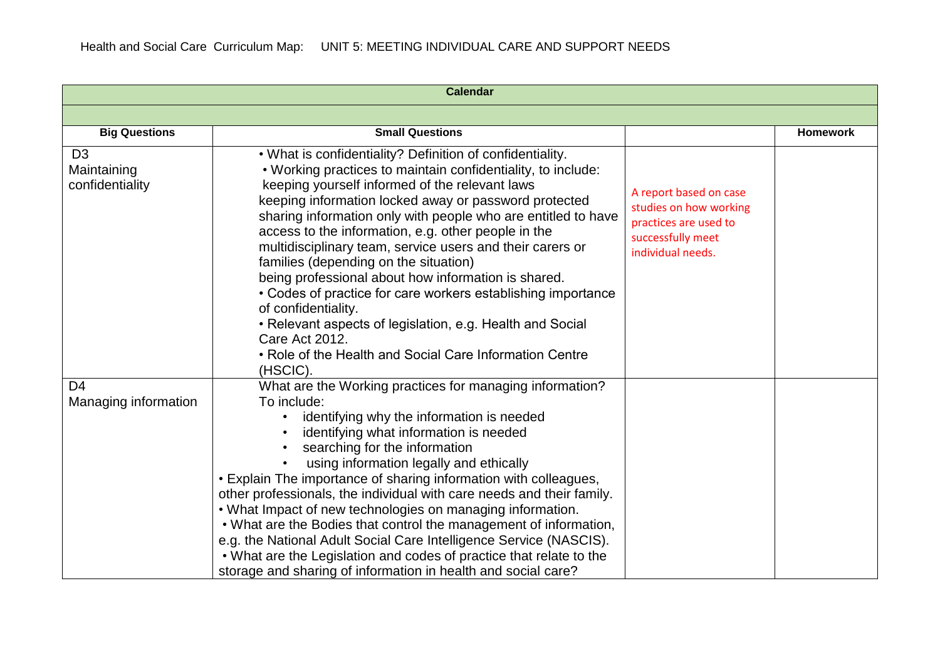|                                                  | <b>Calendar</b>                                                                                                                                                                                                                                                                                                                                                                                                                                                                                                                                                                                                                                                                                                                                                               |                                                                                                                     |                 |
|--------------------------------------------------|-------------------------------------------------------------------------------------------------------------------------------------------------------------------------------------------------------------------------------------------------------------------------------------------------------------------------------------------------------------------------------------------------------------------------------------------------------------------------------------------------------------------------------------------------------------------------------------------------------------------------------------------------------------------------------------------------------------------------------------------------------------------------------|---------------------------------------------------------------------------------------------------------------------|-----------------|
|                                                  |                                                                                                                                                                                                                                                                                                                                                                                                                                                                                                                                                                                                                                                                                                                                                                               |                                                                                                                     |                 |
| <b>Big Questions</b>                             | <b>Small Questions</b>                                                                                                                                                                                                                                                                                                                                                                                                                                                                                                                                                                                                                                                                                                                                                        |                                                                                                                     | <b>Homework</b> |
| D <sub>3</sub><br>Maintaining<br>confidentiality | . What is confidentiality? Definition of confidentiality.<br>. Working practices to maintain confidentiality, to include:<br>keeping yourself informed of the relevant laws<br>keeping information locked away or password protected<br>sharing information only with people who are entitled to have<br>access to the information, e.g. other people in the<br>multidisciplinary team, service users and their carers or<br>families (depending on the situation)<br>being professional about how information is shared.<br>• Codes of practice for care workers establishing importance<br>of confidentiality.<br>• Relevant aspects of legislation, e.g. Health and Social<br><b>Care Act 2012.</b><br>• Role of the Health and Social Care Information Centre<br>(HSCIC). | A report based on case<br>studies on how working<br>practices are used to<br>successfully meet<br>individual needs. |                 |
| D <sub>4</sub><br>Managing information           | What are the Working practices for managing information?<br>To include:<br>identifying why the information is needed<br>$\bullet$<br>identifying what information is needed<br>searching for the information<br>using information legally and ethically<br>• Explain The importance of sharing information with colleagues,<br>other professionals, the individual with care needs and their family.<br>. What Impact of new technologies on managing information.<br>. What are the Bodies that control the management of information,<br>e.g. the National Adult Social Care Intelligence Service (NASCIS).<br>. What are the Legislation and codes of practice that relate to the<br>storage and sharing of information in health and social care?                         |                                                                                                                     |                 |